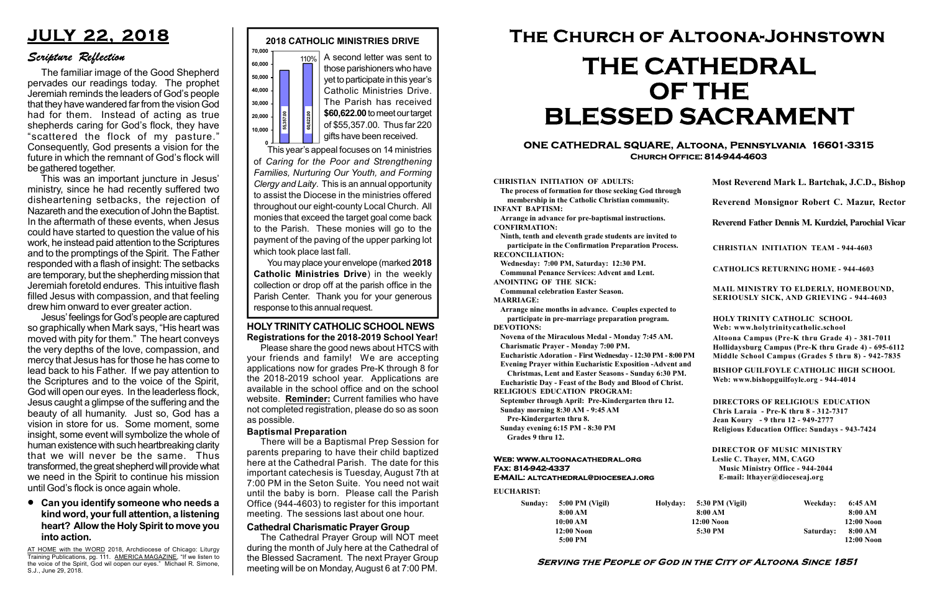#### Serving the People of God in the City of Altoona Since 1851

Sunday: 5:00 PM (Vigil) 8:00 AM 10:00 AM 12:00 Noon 5:00 PM

Holyday:

#### Web: www.altoonacathedral.org Fax: 814-942-4337 E-MAIL: altcathedral@dioceseaj.org

EUCHARIST:

#### CHRISTIAN INITIATION OF ADULTS:

The process of formation for those seeking God through membership in the Catholic Christian community. INFANT BAPTISM:

Arrange in advance for pre-baptismal instructions. CONFIRMATION:

Ninth, tenth and eleventh grade students are invited to participate in the Confirmation Preparation Process. RECONCILIATION:

Wednesday: 7:00 PM, Saturday: 12:30 PM. Communal Penance Services: Advent and Lent.

ANOINTING OF THE SICK:

Communal celebration Easter Season. MARRIAGE:

Arrange nine months in advance. Couples expected to participate in pre-marriage preparation program. DEVOTIONS:

Novena of the Miraculous Medal - Monday 7:45 AM.

Charismatic Prayer - Monday 7:00 PM. Eucharistic Adoration - First Wednesday - 12:30 PM - 8:00 PM

Evening Prayer within Eucharistic Exposition -Advent and

Christmas, Lent and Easter Seasons - Sunday 6:30 PM.

|                         | Most Reverend Mark L. Bartchak, J.C.D., Bishop<br>Reverend Monsignor Robert C. Mazur, Rector                                                                                    |           |                         |
|-------------------------|---------------------------------------------------------------------------------------------------------------------------------------------------------------------------------|-----------|-------------------------|
|                         |                                                                                                                                                                                 |           |                         |
|                         | Reverend Father Dennis M. Kurdziel, Parochial Vicar                                                                                                                             |           |                         |
|                         | <b>CHRISTIAN INITIATION TEAM - 944-4603</b>                                                                                                                                     |           |                         |
|                         | <b>CATHOLICS RETURNING HOME - 944-4603</b>                                                                                                                                      |           |                         |
|                         | MAIL MINISTRY TO ELDERLY, HOMEBOUND,<br><b>SERIOUSLY SICK, AND GRIEVING - 944-4603</b>                                                                                          |           |                         |
|                         | <b>HOLY TRINITY CATHOLIC SCHOOL</b><br>Web: www.holytrinitycatholic.school                                                                                                      |           |                         |
| М                       | Altoona Campus (Pre-K thru Grade 4) - 381-7011<br>Hollidaysburg Campus (Pre-K thru Grade 4) - 695-6112<br>Middle School Campus (Grades 5 thru 8) - 942-7835                     |           |                         |
| ł                       | <b>BISHOP GUILFOYLE CATHOLIC HIGH SCHOOL</b><br>Web: www.bishopguilfoyle.org - 944-4014                                                                                         |           |                         |
|                         | <b>DIRECTORS OF RELIGIOUS EDUCATION</b><br>Chris Laraia - Pre-K thru 8 - 312-7317<br>Jean Koury - 9 thru 12 - 949-2777<br><b>Religious Education Office: Sundays - 943-7424</b> |           |                         |
|                         | <b>DIRECTOR OF MUSIC MINISTRY</b><br>Leslie C. Thayer, MM, CAGO<br><b>Music Ministry Office - 944-2044</b><br>E-mail: lthayer@dioceseaj.org                                     |           |                         |
| 5:30 PM (Vigil)         |                                                                                                                                                                                 | Weekday:  | 6:45 AM                 |
| 8:00 AM<br>$12:00$ Noon |                                                                                                                                                                                 |           | 8:00 AM<br>12:00 Noon   |
|                         | 5:30 PM                                                                                                                                                                         | Saturday: | 8:00 AM<br>$12:00$ Noon |
|                         |                                                                                                                                                                                 |           |                         |

Eucharistic Day - Feast of the Body and Blood of Christ.

RELIGIOUS EDUCATION PROGRAM:

September through April: Pre-Kindergarten thru 12. Sunday morning 8:30 AM - 9:45 AM

Pre-Kindergarten thru 8.

Sunday evening 6:15 PM - 8:30 PM Grades 9 thru 12.



#### ONE CATHEDRAL SQUARE, Altoona, Pennsylvania 16601-3315 Church Office: 814-944-4603

# The Church of Altoona-Johnstown THE CATHEDRAL OF THE BLESSED SACRAMENT

A second letter was sent to those parishioners who have yet to participate in this year's Catholic Ministries Drive. The Parish has received \$60,622.00 to meet our target of \$55,357.00. Thus far 220 gifts have been received.

0<br>This year's appeal focuses on 14 ministries of Caring for the Poor and Strengthening Families, Nurturing Our Youth, and Forming Clergy and Laity. This is an annual opportunity to assist the Diocese in the ministries offered throughout our eight-county Local Church. All monies that exceed the target goal come back to the Parish. These monies will go to the payment of the paving of the upper parking lot which took place last fall. response to this annual request.<br>
Fig. 35,357.00. Thus far 220<br>
of \$55,357.00. Thus far 220<br>
of \$55,357.00. Thus far 220<br>
of \$55,357.00. Thus far 220<br>
of \$55,357.00. Thus far 220<br>
of \$55,357.00. Thus far 220<br>
of \$55,357.0

AT HOME with the WORD 2018, Archdiocese of Chicago: Liturgy Training Publications, pg. 111. AMERICA MAGAZINE, "If we listen to the voice of the Spirit, God wil oopen our eyes." Michael R. Simone, S.J., June 29, 2018.

You may place your envelope (marked 2018 Catholic Ministries Drive) in the weekly collection or drop off at the parish office in the Parish Center. Thank you for your generous

#### Baptismal Preparation

There will be a Baptismal Prep Session for parents preparing to have their child baptized here at the Cathedral Parish. The date for this important catechesis is Tuesday, August 7th at 7:00 PM in the Seton Suite. You need not wait until the baby is born. Please call the Parish Office (944-4603) to register for this important meeting. The sessions last about one hour.

#### HOLY TRINITY CATHOLIC SCHOOL NEWS Registrations for the 2018-2019 School Year!

Please share the good news about HTCS with your friends and family! We are accepting applications now for grades Pre-K through 8 for the 2018-2019 school year. Applications are available in the school office and on the school website. Reminder: Current families who have not completed registration, please do so as soon as possible.

## JULY 22, 2018

### Scripture Reflection

Can you identify someone who needs a kind word, your full attention, a listening heart? Allow the Holy Spirit to move you into action.

The familiar image of the Good Shepherd pervades our readings today. The prophet Jeremiah reminds the leaders of God's people that they have wandered far from the vision God had for them. Instead of acting as true shepherds caring for God's flock, they have "scattered the flock of my pasture." Consequently, God presents a vision for the future in which the remnant of God's flock will be gathered together.

This was an important juncture in Jesus' ministry, since he had recently suffered two disheartening setbacks, the rejection of Nazareth and the execution of John the Baptist. In the aftermath of these events, when Jesus could have started to question the value of his work, he instead paid attention to the Scriptures and to the promptings of the Spirit. The Father responded with a flash of insight: The setbacks are temporary, but the shepherding mission that Jeremiah foretold endures. This intuitive flash filled Jesus with compassion, and that feeling drew him onward to ever greater action.

Jesus' feelings for God's people are captured so graphically when Mark says, "His heart was moved with pity for them." The heart conveys the very depths of the love, compassion, and mercy that Jesus has for those he has come to lead back to his Father. If we pay attention to the Scriptures and to the voice of the Spirit, God will open our eyes. In the leaderless flock, Jesus caught a glimpse of the suffering and the beauty of all humanity. Just so, God has a vision in store for us. Some moment, some insight, some event will symbolize the whole of human existence with such heartbreaking clarity that we will never be the same. Thus transformed, the great shepherd will provide what we need in the Spirit to continue his mission until God's flock is once again whole.

#### Cathedral Charismatic Prayer Group

The Cathedral Prayer Group will NOT meet during the month of July here at the Cathedral of the Blessed Sacrament. The next Prayer Group meeting will be on Monday, August 6 at 7:00 PM.